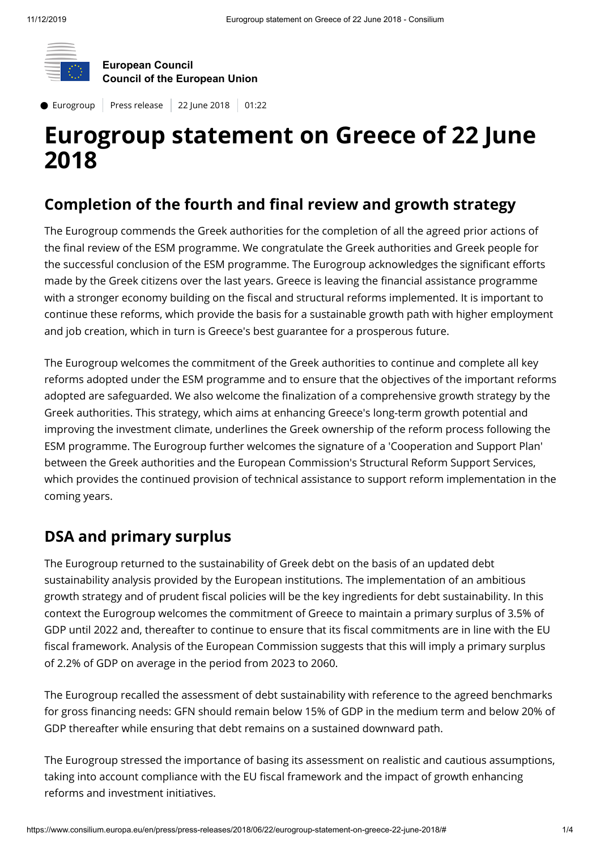

**European Council Council of the European Union**

 $\bullet$  Eurogroup | Press release | 22 June 2018 | 01:22

# **Eurogroup statement on Greece of 22 June 2018**

### **Completion of the fourth and final review and growth strategy**

The Eurogroup commends the Greek authorities for the completion of all the agreed prior actions of the final review of the ESM programme. We congratulate the Greek authorities and Greek people for the successful conclusion of the ESM programme. The Eurogroup acknowledges the significant efforts made by the Greek citizens over the last years. Greece is leaving the financial assistance programme with a stronger economy building on the fiscal and structural reforms implemented. It is important to continue these reforms, which provide the basis for a sustainable growth path with higher employment and job creation, which in turn is Greece's best guarantee for a prosperous future.

The Eurogroup welcomes the commitment of the Greek authorities to continue and complete all key reforms adopted under the ESM programme and to ensure that the objectives of the important reforms adopted are safeguarded. We also welcome the finalization of a comprehensive growth strategy by the Greek authorities. This strategy, which aims at enhancing Greece's long-term growth potential and improving the investment climate, underlines the Greek ownership of the reform process following the ESM programme. The Eurogroup further welcomes the signature of a 'Cooperation and Support Plan' between the Greek authorities and the European Commission's Structural Reform Support Services, which provides the continued provision of technical assistance to support reform implementation in the coming years.

## **DSA and primary surplus**

The Eurogroup returned to the sustainability of Greek debt on the basis of an updated debt sustainability analysis provided by the European institutions. The implementation of an ambitious growth strategy and of prudent fiscal policies will be the key ingredients for debt sustainability. In this context the Eurogroup welcomes the commitment of Greece to maintain a primary surplus of 3.5% of GDP until 2022 and, thereafter to continue to ensure that its fiscal commitments are in line with the EU fiscal framework. Analysis of the European Commission suggests that this will imply a primary surplus of 2.2% of GDP on average in the period from 2023 to 2060.

The Eurogroup recalled the assessment of debt sustainability with reference to the agreed benchmarks for gross financing needs: GFN should remain below 15% of GDP in the medium term and below 20% of GDP thereafter while ensuring that debt remains on a sustained downward path.

The Eurogroup stressed the importance of basing its assessment on realistic and cautious assumptions, taking into account compliance with the EU fiscal framework and the impact of growth enhancing reforms and investment initiatives.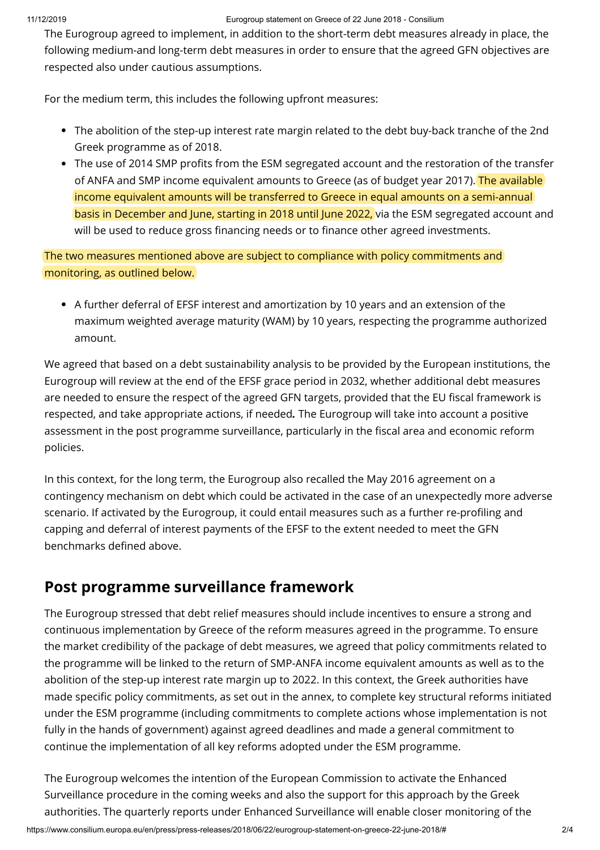#### 11/12/2019 Eurogroup statement on Greece of 22 June 2018 - Consilium

The Eurogroup agreed to implement, in addition to the short-term debt measures already in place, the following medium-and long-term debt measures in order to ensure that the agreed GFN objectives are respected also under cautious assumptions.

For the medium term, this includes the following upfront measures:

- The abolition of the step-up interest rate margin related to the debt buy-back tranche of the 2nd Greek programme as of 2018.
- The use of 2014 SMP profits from the ESM segregated account and the restoration of the transfer of ANFA and SMP income equivalent amounts to Greece (as of budget year 2017). The available income equivalent amounts will be transferred to Greece in equal amounts on a semi-annual basis in December and June, starting in 2018 until June 2022, via the ESM segregated account and will be used to reduce gross financing needs or to finance other agreed investments.

The two measures mentioned above are subject to compliance with policy commitments and monitoring, as outlined below.

A further deferral of EFSF interest and amortization by 10 years and an extension of the maximum weighted average maturity (WAM) by 10 years, respecting the programme authorized amount.

We agreed that based on a debt sustainability analysis to be provided by the European institutions, the Eurogroup will review at the end of the EFSF grace period in 2032, whether additional debt measures are needed to ensure the respect of the agreed GFN targets, provided that the EU fiscal framework is respected, and take appropriate actions, if needed*.* The Eurogroup will take into account a positive assessment in the post programme surveillance, particularly in the fiscal area and economic reform policies.

In this context, for the long term, the Eurogroup also recalled the May 2016 agreement on a contingency mechanism on debt which could be activated in the case of an unexpectedly more adverse scenario. If activated by the Eurogroup, it could entail measures such as a further re-profiling and capping and deferral of interest payments of the EFSF to the extent needed to meet the GFN benchmarks defined above.

#### **Post programme surveillance framework**

The Eurogroup stressed that debt relief measures should include incentives to ensure a strong and continuous implementation by Greece of the reform measures agreed in the programme. To ensure the market credibility of the package of debt measures, we agreed that policy commitments related to the programme will be linked to the return of SMP-ANFA income equivalent amounts as well as to the abolition of the step-up interest rate margin up to 2022. In this context, the Greek authorities have made specific policy commitments, as set out in the annex, to complete key structural reforms initiated under the ESM programme (including commitments to complete actions whose implementation is not fully in the hands of government) against agreed deadlines and made a general commitment to continue the implementation of all key reforms adopted under the ESM programme.

The Eurogroup welcomes the intention of the European Commission to activate the Enhanced Surveillance procedure in the coming weeks and also the support for this approach by the Greek authorities. The quarterly reports under Enhanced Surveillance will enable closer monitoring of the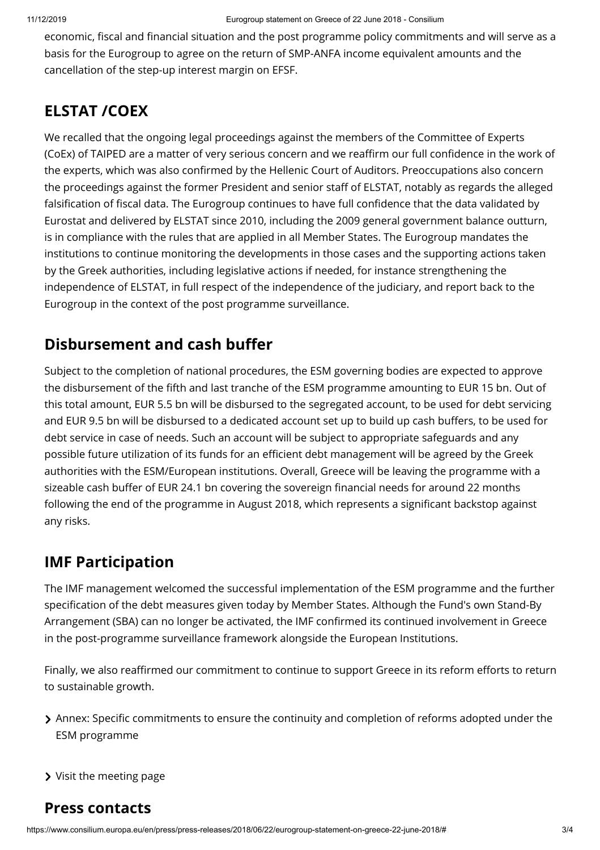economic, fiscal and financial situation and the post programme policy commitments and will serve as a basis for the Eurogroup to agree on the return of SMP-ANFA income equivalent amounts and the cancellation of the step-up interest margin on EFSF.

### **ELSTAT /COEX**

We recalled that the ongoing legal proceedings against the members of the Committee of Experts (CoEx) of TAIPED are a matter of very serious concern and we reaffirm our full confidence in the work of the experts, which was also confirmed by the Hellenic Court of Auditors. Preoccupations also concern the proceedings against the former President and senior staff of ELSTAT, notably as regards the alleged falsification of fiscal data. The Eurogroup continues to have full confidence that the data validated by Eurostat and delivered by ELSTAT since 2010, including the 2009 general government balance outturn, is in compliance with the rules that are applied in all Member States. The Eurogroup mandates the institutions to continue monitoring the developments in those cases and the supporting actions taken by the Greek authorities, including legislative actions if needed, for instance strengthening the independence of ELSTAT, in full respect of the independence of the judiciary, and report back to the Eurogroup in the context of the post programme surveillance.

#### **Disbursement and cash buffer**

Subject to the completion of national procedures, the ESM governing bodies are expected to approve the disbursement of the fifth and last tranche of the ESM programme amounting to EUR 15 bn. Out of this total amount, EUR 5.5 bn will be disbursed to the segregated account, to be used for debt servicing and EUR 9.5 bn will be disbursed to a dedicated account set up to build up cash buffers, to be used for debt service in case of needs. Such an account will be subject to appropriate safeguards and any possible future utilization of its funds for an efficient debt management will be agreed by the Greek authorities with the ESM/European institutions. Overall, Greece will be leaving the programme with a sizeable cash buffer of EUR 24.1 bn covering the sovereign financial needs for around 22 months following the end of the programme in August 2018, which represents a significant backstop against any risks.

## **IMF Participation**

The IMF management welcomed the successful implementation of the ESM programme and the further specification of the debt measures given today by Member States. Although the Fund's own Stand-By Arrangement (SBA) can no longer be activated, the IMF confirmed its continued involvement in Greece in the post-programme surveillance framework alongside the European Institutions.

Finally, we also reaffirmed our commitment to continue to support Greece in its reform efforts to return to sustainable growth.

- > Annex: Specific commitments to ensure the continuity and completion of reforms adopted under the ESM programme
- > Visit the meeting page

#### **Press contacts**